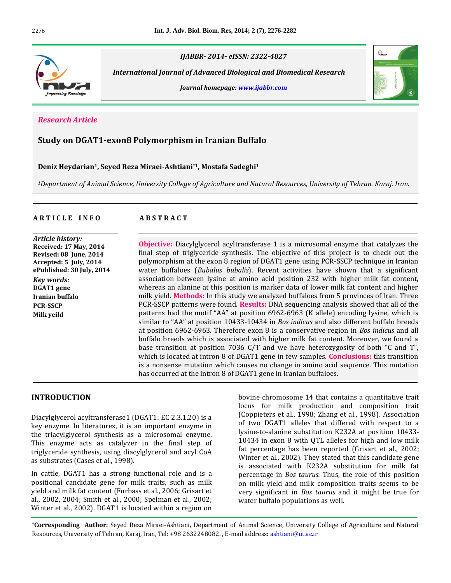

*IJABBR- 2014- eISSN: 2322-4827*

 *International Journal of Advanced Biological and Biomedical Research*

*Journal homepage: www.ijabbr.com*



## *Research Article*

# **Study on DGAT1-exon8 Polymorphism in Iranian Buffalo**

#### **Deniz Heydarian1, Seyed Reza Miraei-Ashtiani\*1, Mostafa Sadeghi<sup>1</sup>**

*<sup>1</sup>Department of Animal Science, University College of Agriculture and Natural Resources, University of Tehran. Karaj. Iran.*

## **A R T I C L E I N F O A B S T R A C T**

*Article history:* **Received: 17 May, 2014 Revised: 08 June, 2014 Accepted: 5 July, 2014 ePublished: 30 July, 2014** *Key words:* **DGAT1 gene Iranian buffalo PCR-SSCP Milk yeild**

**Objective:** Diacylglycerol acyltransferase 1 is a microsomal enzyme that catalyzes the final step of triglyceride synthesis. The objective of this project is to check out the polymorphism at the exon 8 region of DGAT1 gene using PCR-SSCP technique in Iranian water buffaloes (*Bubalus bubalis*). Recent activities have shown that a significant association between lysine at amino acid position 232 with higher milk fat content, whereas an alanine at this position is marker data of lower milk fat content and higher milk yield. **Methods:** In this study we analyzed buffaloes from 5 provinces of Iran. Three PCR-SSCP patterns were found. **Results:** DNA sequencing analysis showed that all of the patterns had the motif "AA" at position 6962-6963 (K allele) encoding lysine, which is similar to "AA" at position 10433-10434 in *Bos indicus* and also different buffalo breeds at position 6962-6963. Therefore exon 8 is a conservative region in *Bos indicus* and all buffalo breeds which is associated with higher milk fat content. Moreover, we found a base transition at position 7036 C/T and we have heterozygosity of both "C and T", which is located at intron 8 of DGAT1 gene in few samples. **Conclusions:** this transition is a nonsense mutation which causes no change in amino acid sequence. This mutation has occurred at the intron 8 of DGAT1 gene in Iranian buffaloes.

## **INTRODUCTION**

Diacylglycerol acyltransferase1 (DGAT1: EC 2.3.1.20) is a key enzyme. In literatures, it is an important enzyme in the triacylglycerol synthesis as a microsomal enzyme. This enzyme acts as catalyzer in the final step of triglyceride synthesis, using diacylglycerol and acyl CoA as substrates (Cases et al., 1998).

In cattle, DGAT1 has a strong functional role and is a positional candidate gene for milk traits, such as milk yield and milk fat content (Furbass et al., 2006; Grisart et al., 2002, 2004; Smith et al., 2000; Spelman et al., 2002; Winter et al., 2002). DGAT1 is located within a region on bovine chromosome 14 that contains a quantitative trait locus for milk production and composition trait (Coppieters et al., 1998; Zhang et al., 1998). Association of two DGAT1 alleles that differed with respect to a lysine-to-alanine substitution K232A at position 10433- 10434 in exon 8 with QTL alleles for high and low milk fat percentage has been reported (Grisart et al., 2002; Winter et al., 2002). They stated that this candidate gene is associated with K232A substitution for milk fat percentage in *Bos taurus.* Thus, the role of this position on milk yield and milk composition traits seems to be very significant in *Bos taurus* and it might be true for water buffalo populations as well*.*

**\*Corresponding Author:** Seyed Reza Miraei-Ashtiani, Department of Animal Science, University College of Agriculture and Natural Resources, University of Tehran, Karaj, Iran, Tel: +98 2632248082. , E-mail address: ashtiani@ut.ac.ir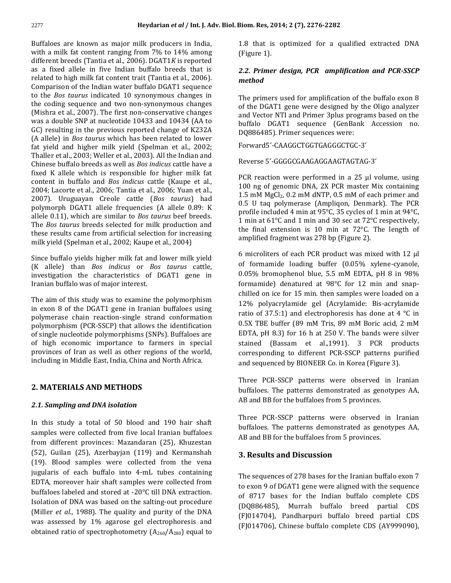Buffaloes are known as major milk producers in India, with a milk fat content ranging from 7% to 14% among different breeds (Tantia et al., 2006). DGAT1*K* is reported as a fixed allele in five Indian buffalo breeds that is related to high milk fat content trait (Tantia et al., 2006). Comparison of the Indian water buffalo DGAT1 sequence to the *Bos taurus* indicated 10 synonymous changes in the coding sequence and two non-synonymous changes (Mishra et al., 2007). The first non-conservative changes was a double SNP at nucleotide 10433 and 10434 (AA to GC) resulting in the previous reported change of K232A (A allele) in *Bos taurus* which has been related to lower fat yield and higher milk yield (Spelman et al., 2002; Thaller et al., 2003; Weller et al., 2003). All the Indian and Chinese buffalo breeds as well as *Bos indicus* cattle have a fixed K allele which is responsible for higher milk fat content in buffalo and *Bos indicus* cattle (Kaupe et al., 2004; Lacorte et al., 2006; Tantia et al., 2006; Yuan et al., 2007). Uruguayan Creole cattle (*Bos taurus*) had polymorph DGAT1 allele frequencies (A allele 0.89: K allele 0.11), which are similar to *Bos taurus* beef breeds. The *Bos taurus* breeds selected for milk production and these results came from artificial selection for increasing milk yield (Spelman et al., 2002; Kaupe et al., 2004)

Since buffalo yields higher milk fat and lower milk yield (K allele) than *Bos indicus* or *Bos taurus* cattle, investigation the characteristics of DGAT1 gene in Iranian buffalo was of major interest.

The aim of this study was to examine the polymorphism in exon 8 of the DGAT1 gene in Iranian buffaloes using polymerase chain reaction-single strand conformation polymorphism (PCR-SSCP) that allows the identification of single nucleotide polymorphisms (SNPs). Buffaloes are of high economic importance to farmers in special provinces of Iran as well as other regions of the world, including in Middle East, India, China and North Africa.

#### **2. MATERIALS AND METHODS**

#### *2.1. Sampling and DNA isolation*

In this study a total of 50 blood and 190 hair shaft samples were collected from five local Iranian buffaloes from different provinces: Mazandaran (25), Khuzestan (52), Guilan (25), Azerbayjan (119) and Kermanshah (19). Blood samples were collected from the vena jugularis of each buffalo into 4-mL tubes containing EDTA, moreover hair shaft samples were collected from buffaloes labeled and stored at -20°C till DNA extraction. Isolation of DNA was based on the salting-out procedure (Miller *et al*., 1988). The quality and purity of the DNA was assessed by 1% agarose gel electrophoresis and obtained ratio of spectrophotometry  $(A_{260}/A_{280})$  equal to

1.8 that is optimized for a qualified extracted DNA (Figure 1).

## *2.2. Primer design, PCR amplification and PCR-SSCP method*

The primers used for amplification of the buffalo exon 8 of the DGAT1 gene were designed by the Oligo analyzer and Vector NTI and Primer 3plus programs based on the buffalo DGAT1 sequence (GenBank Accession no. DQ886485). Primer sequences were:

Forward5ˊ-CAAGGCTGGTGAGGGCTGC-3ˊ

Reverse 5ˊ-GGGGCGAAGAGGAAGTAGTAG-3ˊ

PCR reaction were performed in a 25 µl volume, using 100 ng of genomic DNA, 2X PCR master Mix containing 1.5 mM  $MgCl<sub>2</sub>$ , 0.2 mM dNTP, 0.5 mM of each primer and 0.5 U taq polymerase (Ampliqon, Denmark). The PCR profile included 4 min at 95°C, 35 cycles of 1 min at 94°C, 1 min at 61°C and 1 min and 30 sec at 72°C respectively, the final extension is 10 min at 72°C. The length of amplified fragment was 278 bp (Figure 2).

6 microliters of each PCR product was mixed with 12 µl of formamide loading buffer (0.05% xylene-cyanole, 0.05% bromophenol blue, 5.5 mM EDTA, pH 8 in 98% formamide) denatured at 98°C for 12 min and snapchilled on ice for 15 min. then samples were loaded on a 12% polyacrylamide gel (Acrylamide: Bis-acrylamide ratio of 37.5:1) and electrophoresis has done at 4  $\degree$ C in 0.5X TBE buffer (89 mM Tris, 89 mM Boric acid, 2 mM EDTA, pH 8.3) for 16 h at 250 V. The bands were silver stained (Bassam et al.,1991). 3 PCR products corresponding to different PCR-SSCP patterns purified and sequenced by BIONEER Co. in Korea (Figure 3).

Three PCR-SSCP patterns were observed in Iranian buffaloes. The patterns demonstrated as genotypes AA, AB and BB for the buffaloes from 5 provinces.

Three PCR-SSCP patterns were observed in Iranian buffaloes. The patterns demonstrated as genotypes AA, AB and BB for the buffaloes from 5 provinces.

## **3. Results and Discussion**

The sequences of 278 bases for the Iranian buffalo exon 7 to exon 9 of DGAT1 gene were aligned with the sequence of 8717 bases for the Indian buffalo complete CDS (DQ886485), Murrah buffalo breed partial CDS (FJ014704), Pandharpuri buffalo breed partial CDS (FJ014706), Chinese buffalo complete CDS (AY999090),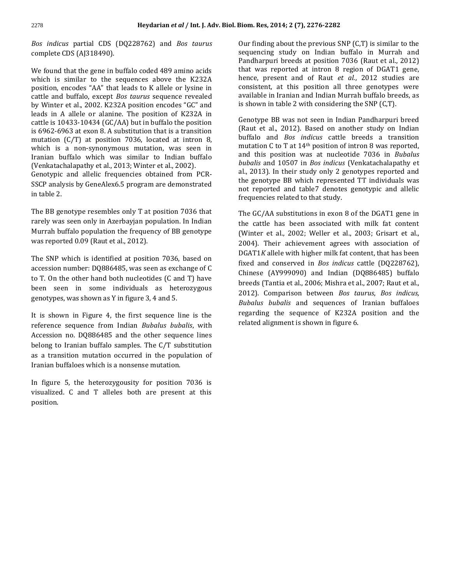*Bos indicus* partial CDS (DQ228762) and *Bos taurus* complete CDS (AJ318490).

We found that the gene in buffalo coded 489 amino acids which is similar to the sequences above the K232A position, encodes "AA" that leads to K allele or lysine in cattle and buffalo, except *Bos taurus* sequence revealed by Winter et al., 2002. K232A position encodes "GC" and leads in A allele or alanine. The position of K232A in cattle is 10433-10434 (GC/AA) but in buffalo the position is 6962-6963 at exon 8. A substitution that is a transition mutation (C/T) at position 7036, located at intron 8, which is a non-synonymous mutation, was seen in Iranian buffalo which was similar to Indian buffalo (Venkatachalapathy et al., 2013; Winter et al., 2002). Genotypic and allelic frequencies obtained from PCR-SSCP analysis by GeneAlex6.5 program are demonstrated in table 2.

The BB genotype resembles only T at position 7036 that rarely was seen only in Azerbayjan population. In Indian Murrah buffalo population the frequency of BB genotype was reported 0.09 (Raut et al., 2012).

The SNP which is identified at position 7036, based on accession number: DQ886485, was seen as exchange of C to T. On the other hand both nucleotides (C and T) have been seen in some individuals as heterozygous genotypes, was shown as Y in figure 3, 4 and 5.

It is shown in Figure 4, the first sequence line is the reference sequence from Indian *Bubalus bubalis*, with Accession no. DQ886485 and the other sequence lines belong to Iranian buffalo samples. The C/T substitution as a transition mutation occurred in the population of Iranian buffaloes which is a nonsense mutation.

In figure 5, the heterozygousity for position 7036 is visualized. C and T alleles both are present at this position.

Our finding about the previous SNP (C,T) is similar to the sequencing study on Indian buffalo in Murrah and Pandharpuri breeds at position 7036 (Raut et al., 2012) that was reported at intron 8 region of DGAT1 gene, hence, present and of Raut *et al.*, 2012 studies are consistent, at this position all three genotypes were available in Iranian and Indian Murrah buffalo breeds, as is shown in table 2 with considering the SNP (C,T).

Genotype BB was not seen in Indian Pandharpuri breed (Raut et al., 2012). Based on another study on Indian buffalo and *Bos indicus* cattle breeds a transition mutation C to T at 14th position of intron 8 was reported, and this position was at nucleotide 7036 in *Bubalus bubalis* and 10507 in *Bos indicus* (Venkatachalapathy et al., 2013)*.* In their study only 2 genotypes reported and the genotype BB which represented TT individuals was not reported and table7 denotes genotypic and allelic frequencies related to that study.

The GC/AA substitutions in exon 8 of the DGAT1 gene in the cattle has been associated with milk fat content (Winter et al., 2002; Weller et al., 2003; Grisart et al., 2004). Their achievement agrees with association of DGAT1*K* allele with higher milk fat content, that has been fixed and conserved in *Bos indicus* cattle (DQ228762), Chinese (AY999090) and Indian (DQ886485) buffalo breeds (Tantia et al., 2006; Mishra et al., 2007; Raut et al., 2012). Comparison between *Bos taurus*, *Bos indicus, Bubalus bubalis* and sequences of Iranian buffaloes regarding the sequence of K232A position and the related alignment is shown in figure 6.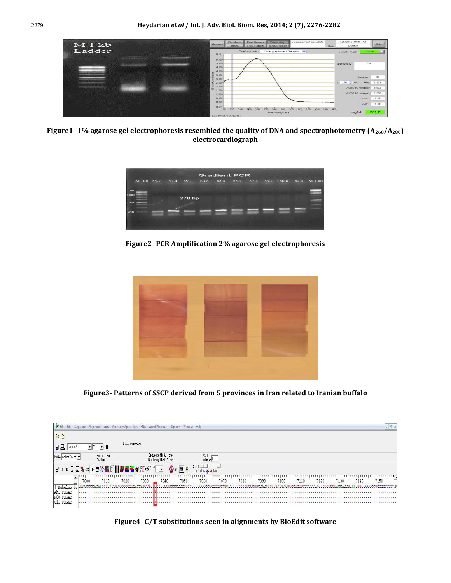

**Figure1- 1% agarose gel electrophoresis resembled the quality of DNA and spectrophotometry (A260/A280) electrocardiograph**

| <b>Gradient PCR</b> |      |      |        |      |      |      |      |      |      |      |      |
|---------------------|------|------|--------|------|------|------|------|------|------|------|------|
| $M$ 1kb             | 55.7 | 57.4 | 59.1   | 60.8 | 62.4 | 55.7 | 57.4 | 59.1 | 60.8 | 62.4 | M1kb |
| 10000               |      |      |        |      |      |      |      |      | ۔    |      |      |
| 3000                |      |      |        |      |      |      |      |      |      |      |      |
|                     |      |      | 278 bp |      |      |      |      |      |      |      |      |
| 1000                |      |      |        |      |      |      |      |      |      |      |      |
| 250                 |      |      |        |      |      |      |      |      |      |      |      |
|                     |      |      |        |      |      |      |      |      |      |      |      |
|                     |      |      |        |      |      |      |      |      |      |      |      |
|                     |      |      |        |      |      |      |      |      |      |      |      |

**Figure2- PCR Amplification 2% agarose gel electrophoresis**



**Figure3- Patterns of SSCP derived from 5 provinces in Iran related to Iranian buffalo**

| <b>Y</b> File          | Edit Sequence Alignment View Accessory Application RNA World Wide Web Options Window Help |                   |                                             |                           |                                           |      |      |      |      |      |      |      |      | $ 5$ X |
|------------------------|-------------------------------------------------------------------------------------------|-------------------|---------------------------------------------|---------------------------|-------------------------------------------|------|------|------|------|------|------|------|------|--------|
| B                      |                                                                                           |                   |                                             |                           |                                           |      |      |      |      |      |      |      |      |        |
| B<br>Courier New       | 11                                                                                        | 4 total sequences |                                             |                           |                                           |      |      |      |      |      |      |      |      |        |
| Mode: Select / Slide   | Selection: null<br>Position:                                                              |                   | Sequence Mask: None<br>Numbering Mask: None |                           | Start<br>ruler at:                        |      |      |      |      |      |      |      |      |        |
|                        |                                                                                           |                   |                                             | $\mathbf{M}$ $\mathbf{F}$ | Scroll <b>Line</b><br>speed slow a 4 fast |      |      |      |      |      |      |      |      |        |
|                        | 7010<br>7000                                                                              | 7020              | 7030<br>7040                                | 7050                      | 7060                                      | 7070 | 7080 | 7090 | 7100 | 7110 | 7120 | 7130 | 7140 | 7150   |
| Bubalus<br>Ah1 FDGAT   | bu CTACCCCGACAACCTGACCTACCGCGGTGAGGATCCTG                                                 |                   |                                             |                           |                                           |      |      |      |      |      |      |      |      |        |
| R80 FDGAT<br>U11 FDGAT |                                                                                           |                   |                                             |                           |                                           |      |      |      |      |      |      |      |      |        |

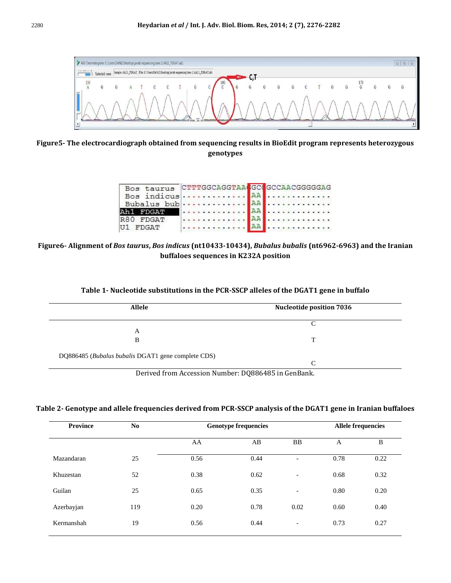

**Figure5- The electrocardiograph obtained from sequencing results in BioEdit program represents heterozygous genotypes**

|                  | Bos taurus CTTTGGCAGGTAA GO GCCAACGGGGGAG |
|------------------|-------------------------------------------|
|                  |                                           |
|                  |                                           |
|                  |                                           |
| R80 FDGAT        | . <mark>.</mark> AA <b>.</b>              |
| <b>II1 FDGAT</b> | . <b>AA</b>                               |

**Figure6- Alignment of** *Bos taurus***,** *Bos indicus* **(nt10433-10434),** *Bubalus bubalis* **(nt6962-6963) and the Iranian buffaloes sequences in K232A position**

| <b>Allele</b>                                      | <b>Nucleotide position 7036</b> |  |
|----------------------------------------------------|---------------------------------|--|
|                                                    |                                 |  |
| A                                                  |                                 |  |
| B                                                  | $\mathbf{T}$                    |  |
| DQ886485 (Bubalus bubalis DGAT1 gene complete CDS) |                                 |  |
|                                                    | $\sqrt{ }$                      |  |

Derived from Accession Number: DQ886485 in GenBank.

## **Table 2- Genotype and allele frequencies derived from PCR-SSCP analysis of the DGAT1 gene in Iranian buffaloes**

|     | <b>Genotype frequencies</b> | <b>Allele frequencies</b> |                          |      |      |
|-----|-----------------------------|---------------------------|--------------------------|------|------|
|     | AA                          | AB                        | <b>BB</b>                | A    | B    |
| 25  | 0.56                        | 0.44                      | $\overline{\phantom{0}}$ | 0.78 | 0.22 |
| 52  | 0.38                        | 0.62                      | $\qquad \qquad$          | 0.68 | 0.32 |
| 25  | 0.65                        | 0.35                      | $\overline{\phantom{a}}$ | 0.80 | 0.20 |
| 119 | 0.20                        | 0.78                      | 0.02                     | 0.60 | 0.40 |
| 19  | 0.56                        | 0.44                      | $\overline{\phantom{a}}$ | 0.73 | 0.27 |
|     |                             |                           |                          |      |      |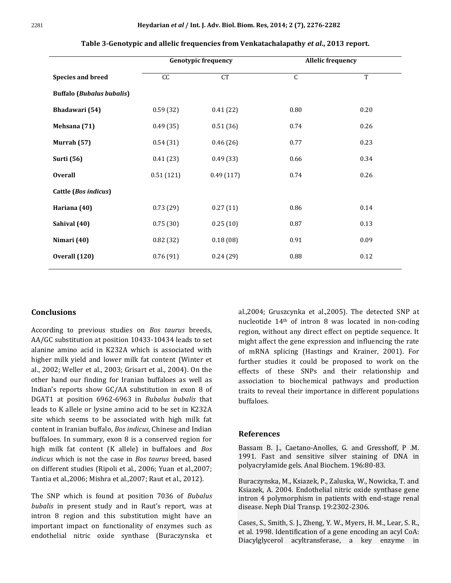|                                  | <b>Genotypic frequency</b> |           | <b>Allelic frequency</b> |                |
|----------------------------------|----------------------------|-----------|--------------------------|----------------|
| <b>Species and breed</b>         | CC                         | CT        | $\overline{C}$           | $\overline{T}$ |
| <b>Buffalo (Bubalus bubalis)</b> |                            |           |                          |                |
| Bhadawari (54)                   | 0.59(32)                   | 0.41(22)  | 0.80                     | 0.20           |
| Mehsana (71)                     | 0.49(35)                   | 0.51(36)  | 0.74                     | 0.26           |
| Murrah (57)                      | 0.54(31)                   | 0.46(26)  | 0.77                     | 0.23           |
| <b>Surti</b> (56)                | 0.41(23)                   | 0.49(33)  | 0.66                     | 0.34           |
| <b>Overall</b>                   | 0.51(121)                  | 0.49(117) | 0.74                     | 0.26           |
| Cattle (Bos indicus)             |                            |           |                          |                |
| Hariana (40)                     | 0.73(29)                   | 0.27(11)  | 0.86                     | 0.14           |
| Sahival (40)                     | 0.75(30)                   | 0.25(10)  | 0.87                     | 0.13           |
| Nimari (40)                      | 0.82(32)                   | 0.18(08)  | 0.91                     | 0.09           |
| Overall (120)                    | 0.76(91)                   | 0.24(29)  | 0.88                     | 0.12           |

#### **Table 3-Genotypic and allelic frequencies from Venkatachalapathy** *et al***., 2013 report.**

## **Conclusions**

According to previous studies on *Bos taurus* breeds, AA/GC substitution at position 10433-10434 leads to set alanine amino acid in K232A which is associated with higher milk yield and lower milk fat content (Winter et al., 2002; Weller et al., 2003; Grisart et al., 2004). On the other hand our finding for Iranian buffaloes as well as Indian's reports show GC/AA substitution in exon 8 of DGAT1 at position 6962-6963 in *Bubalus bubalis* that leads to K allele or lysine amino acid to be set in K232A site which seems to be associated with high milk fat content in Iranian buffalo, *Bos indicus*, Chinese and Indian buffaloes. In summary, exon 8 is a conserved region for high milk fat content (K allele) in buffaloes and *Bos indicus* which is not the case in *Bos taurus* breed, based on different studies (Ripoli et al., 2006; Yuan et al.,2007; Tantia et al.,2006; Mishra et al.,2007; Raut et al., 2012).

The SNP which is found at position 7036 of *Bubalus bubalis* in present study and in Raut's report, was at intron 8 region and this substitution might have an important impact on functionality of enzymes such as endothelial nitric oxide synthase (Buraczynska et

al.,2004; Gruszcynka et al.,2005). The detected SNP at nucleotide 14th of intron 8 was located in non-coding region, without any direct effect on peptide sequence. It might affect the gene expression and influencing the rate of mRNA splicing (Hastings and Krainer, 2001). For further studies it could be proposed to work on the effects of these SNPs and their relationship and association to biochemical pathways and production traits to reveal their importance in different populations buffaloes.

#### **References**

Bassam B. J., Caetano-Anolles, G. and Gresshoff, P .M. 1991. Fast and sensitive silver staining of DNA in polyacrylamide gels. Anal Biochem. 196:80-83.

Buraczynska, M., Ksiazek, P., Zaluska, W., Nowicka, T. and Ksiazek, A. 2004. Endothelial nitric oxide synthase gene intron 4 polymorphism in patients with end-stage renal disease. Neph Dial Transp. 19:2302-2306.

Cases, S., Smith, S. J., Zheng, Y. W., Myers, H. M., Lear, S. R., et al. 1998. Identification of a gene encoding an acyl CoA: Diacylglycerol acyltransferase, a key enzyme in